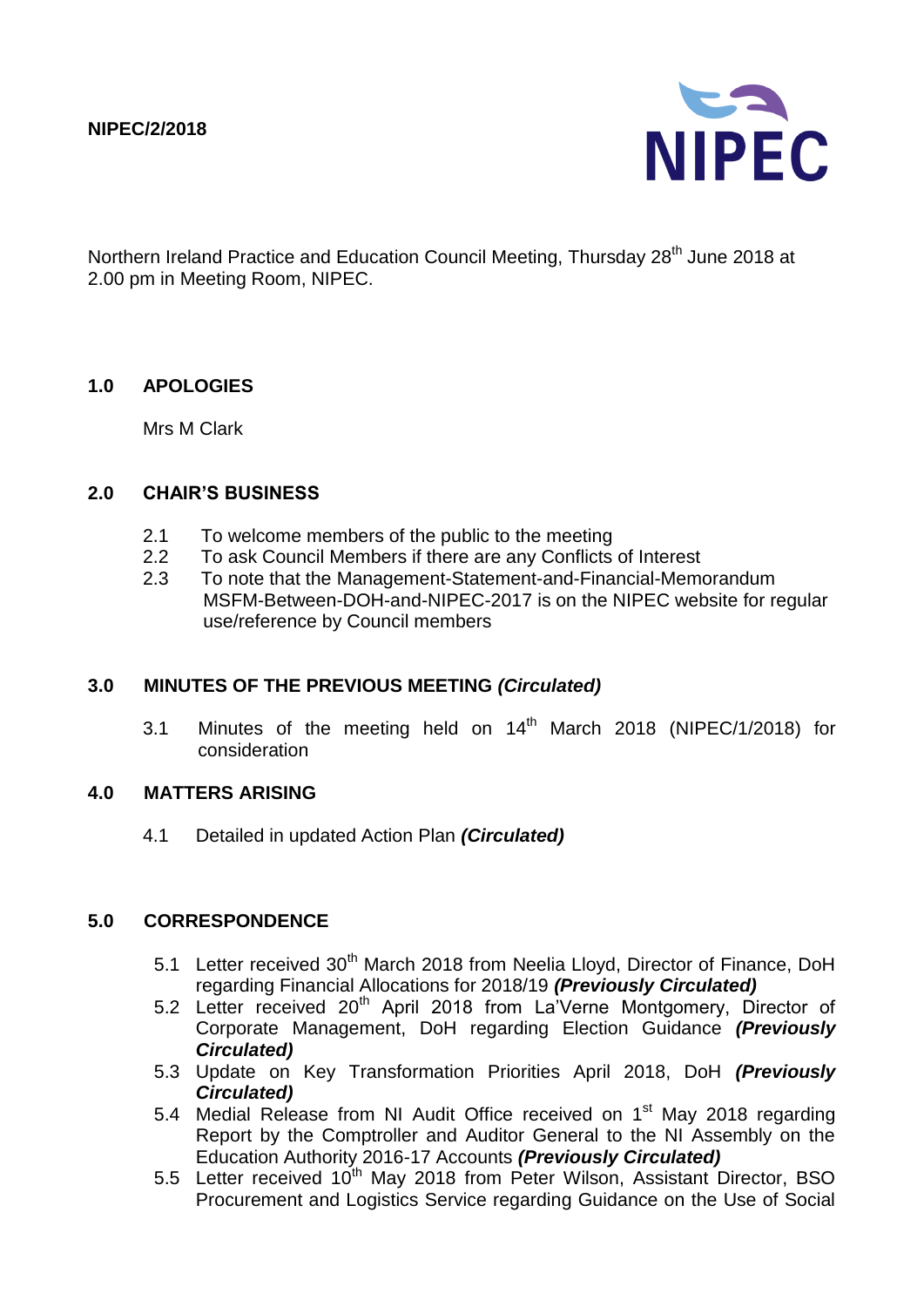

Northern Ireland Practice and Education Council Meeting, Thursday 28<sup>th</sup> June 2018 at 2.00 pm in Meeting Room, NIPEC.

### **1.0 APOLOGIES**

Mrs M Clark

#### **2.0 CHAIR'S BUSINESS**

- 2.1 To welcome members of the public to the meeting
- 2.2 To ask Council Members if there are any Conflicts of Interest
- 2.3 To note that the Management-Statement-and-Financial-Memorandum MSFM-Between-DOH-and-NIPEC-2017 is on the NIPEC website for regular use/reference by Council members

#### **3.0 MINUTES OF THE PREVIOUS MEETING** *(Circulated)*

3.1 Minutes of the meeting held on  $14<sup>th</sup>$  March 2018 (NIPEC/1/2018) for consideration

#### **4.0 MATTERS ARISING**

4.1 Detailed in updated Action Plan *(Circulated)*

#### **5.0 CORRESPONDENCE**

- 5.1 Letter received 30<sup>th</sup> March 2018 from Neelia Lloyd, Director of Finance, DoH regarding Financial Allocations for 2018/19 *(Previously Circulated)*
- 5.2 Letter received 20<sup>th</sup> April 2018 from La'Verne Montgomery, Director of Corporate Management, DoH regarding Election Guidance *(Previously Circulated)*
- 5.3 Update on Key Transformation Priorities April 2018, DoH *(Previously Circulated)*
- 5.4 Medial Release from NI Audit Office received on 1<sup>st</sup> May 2018 regarding Report by the Comptroller and Auditor General to the NI Assembly on the Education Authority 2016-17 Accounts *(Previously Circulated)*
- 5.5 Letter received 10<sup>th</sup> May 2018 from Peter Wilson, Assistant Director, BSO Procurement and Logistics Service regarding Guidance on the Use of Social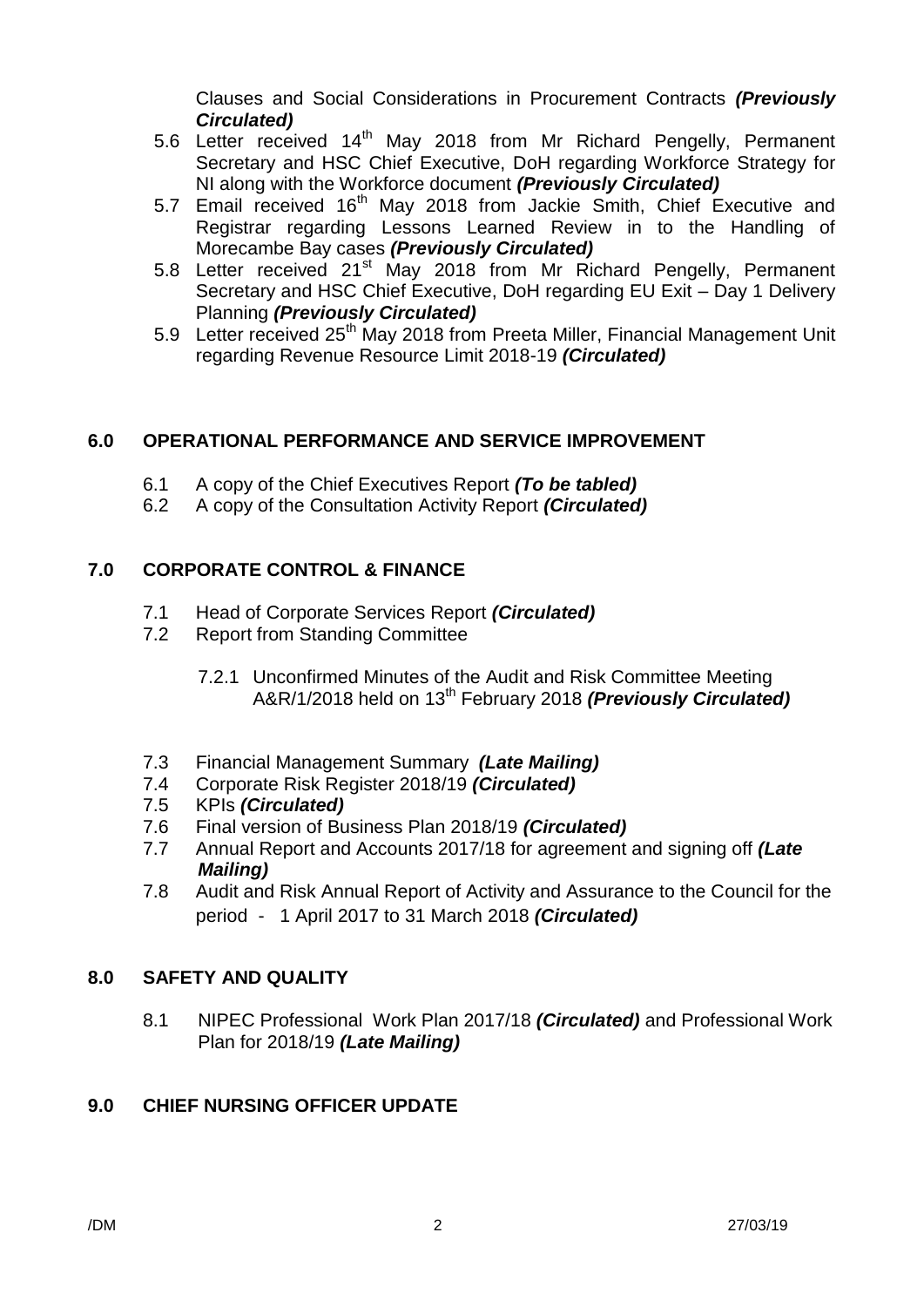Clauses and Social Considerations in Procurement Contracts *(Previously Circulated)*

- 5.6 Letter received 14<sup>th</sup> May 2018 from Mr Richard Pengelly, Permanent Secretary and HSC Chief Executive, DoH regarding Workforce Strategy for NI along with the Workforce document *(Previously Circulated)*
- 5.7 Email received 16<sup>th</sup> May 2018 from Jackie Smith, Chief Executive and Registrar regarding Lessons Learned Review in to the Handling of Morecambe Bay cases *(Previously Circulated)*
- 5.8 Letter received 21<sup>st</sup> May 2018 from Mr Richard Pengelly, Permanent Secretary and HSC Chief Executive, DoH regarding EU Exit – Day 1 Delivery Planning *(Previously Circulated)*
- 5.9 Letter received 25<sup>th</sup> May 2018 from Preeta Miller, Financial Management Unit regarding Revenue Resource Limit 2018-19 *(Circulated)*

## **6.0 OPERATIONAL PERFORMANCE AND SERVICE IMPROVEMENT**

- 6.1 A copy of the Chief Executives Report *(To be tabled)*
- 6.2 A copy of the Consultation Activity Report *(Circulated)*

## **7.0 CORPORATE CONTROL & FINANCE**

- 7.1 Head of Corporate Services Report *(Circulated)*
- 7.2 Report from Standing Committee
	- 7.2.1 Unconfirmed Minutes of the Audit and Risk Committee Meeting A&R/1/2018 held on 13<sup>th</sup> February 2018 *(Previously Circulated)*
- 7.3 Financial Management Summary *(Late Mailing)*
- 7.4 Corporate Risk Register 2018/19 *(Circulated)*
- 7.5 KPIs *(Circulated)*
- 7.6 Final version of Business Plan 2018/19 *(Circulated)*
- 7.7 Annual Report and Accounts 2017/18 for agreement and signing off *(Late Mailing)*
- 7.8 Audit and Risk Annual Report of Activity and Assurance to the Council for the period - 1 April 2017 to 31 March 2018 *(Circulated)*

# **8.0 SAFETY AND QUALITY**

8.1 NIPEC Professional Work Plan 2017/18 *(Circulated)* and Professional Work Plan for 2018/19 *(Late Mailing)*

# **9.0 CHIEF NURSING OFFICER UPDATE**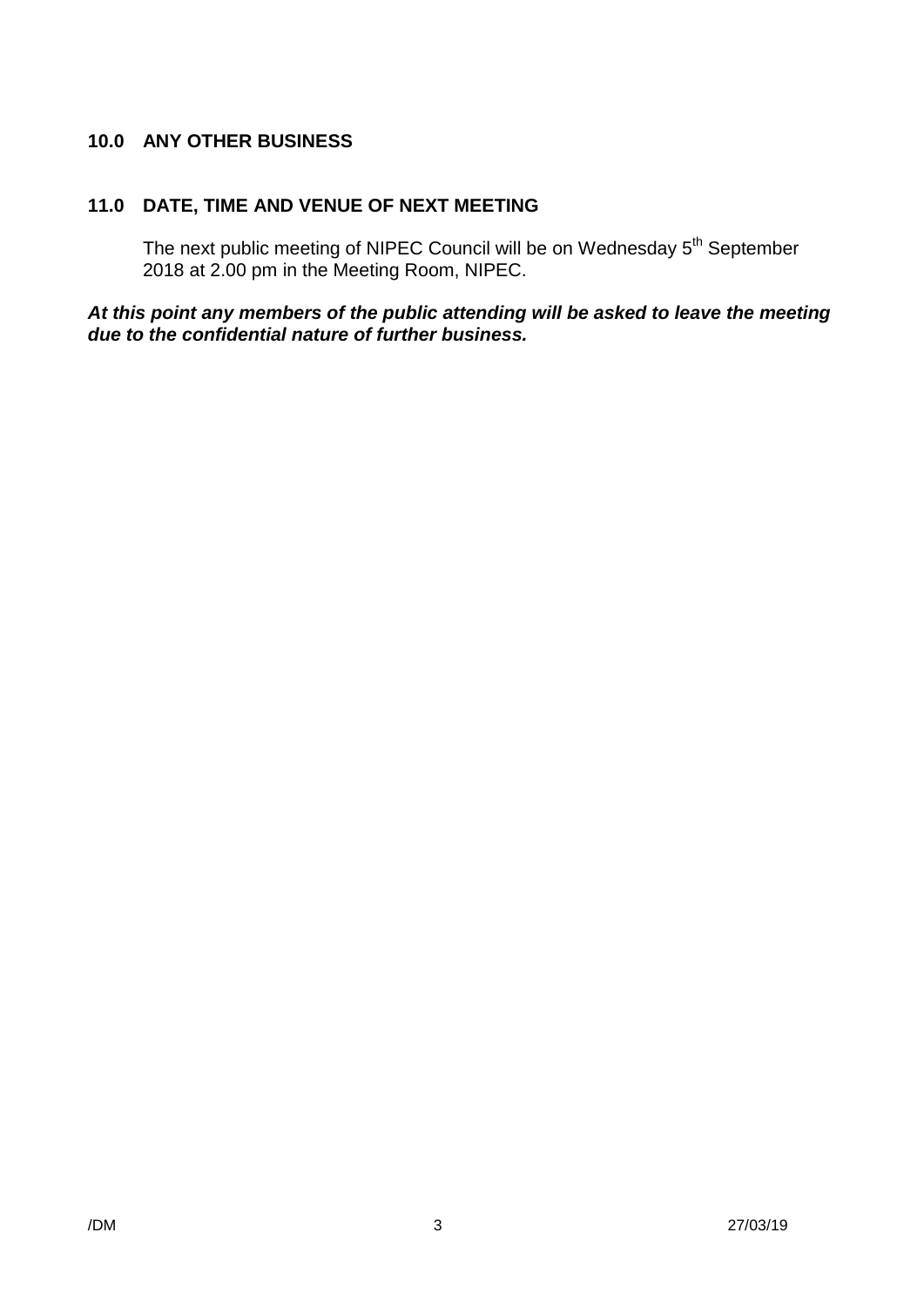## **10.0 ANY OTHER BUSINESS**

# **11.0 DATE, TIME AND VENUE OF NEXT MEETING**

The next public meeting of NIPEC Council will be on Wednesday 5<sup>th</sup> September 2018 at 2.00 pm in the Meeting Room, NIPEC.

## *At this point any members of the public attending will be asked to leave the meeting due to the confidential nature of further business.*